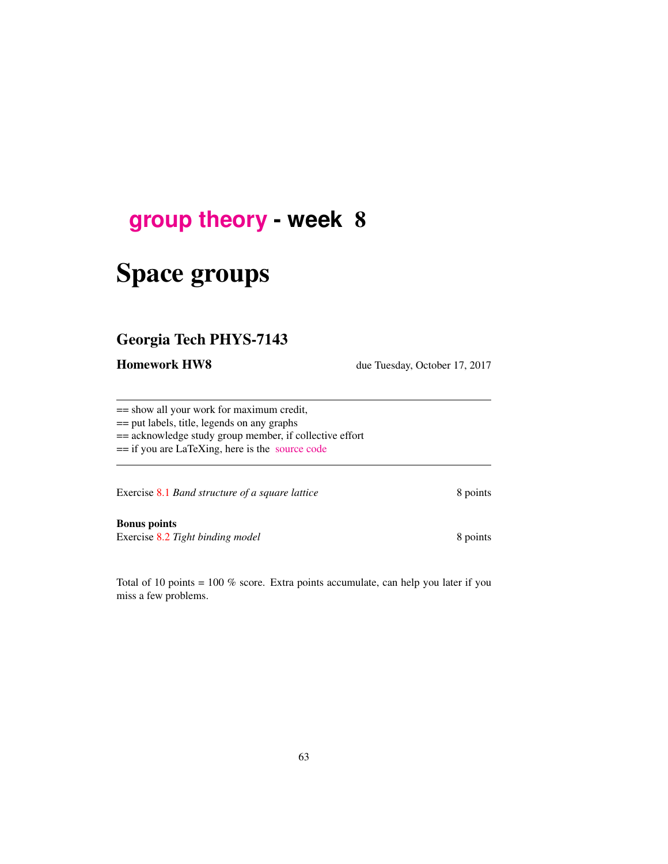# <span id="page-0-0"></span>**[group theory](http://birdtracks.eu/courses/PHYS-7143-17/schedule.html) - week** 8

# Space groups

# Georgia Tech PHYS-7143

Homework HW8 due Tuesday, October 17, 2017

== show all your work for maximum credit,

== put labels, title, legends on any graphs

== acknowledge study group member, if collective effort

== if you are LaTeXing, here is the [source code](http://birdtracks.eu/courses/PHYS-7143-17/exerWeek8.tex)

Exercise 8.1 *Band structure of a square lattice* 8 points

Bonus points Exercise 8.2 *Tight binding model* 8 points

Total of 10 points = 100 % score. Extra points accumulate, can help you later if you miss a few problems.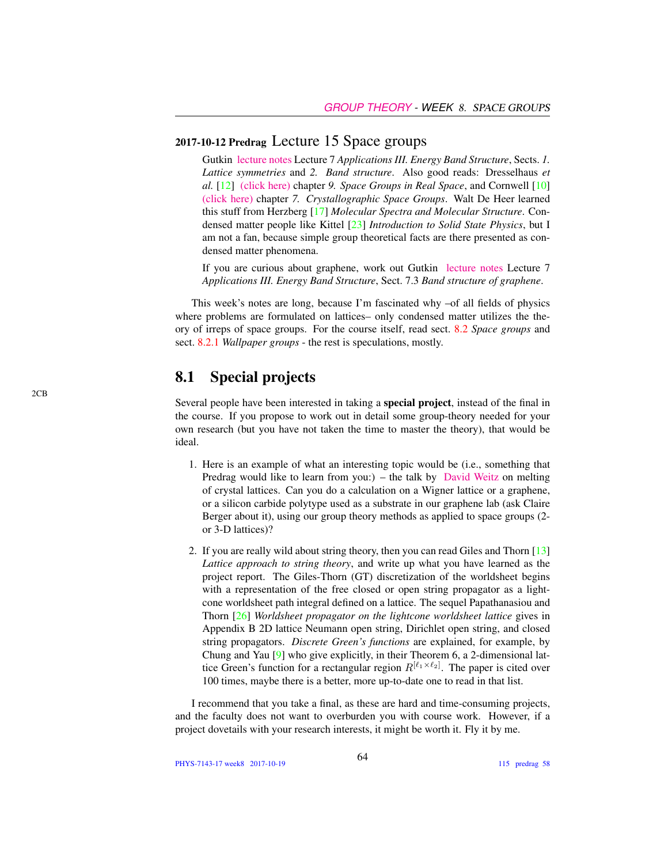## 2017-10-12 Predrag Lecture 15 Space groups

Gutkin [lecture notes](http://birdtracks.eu/courses/PHYS-7143-17/groups.pdf) Lecture 7 *Applications III. Energy Band Structure*, Sects. *1. Lattice symmetries* and *2. Band structure*. Also good reads: Dresselhaus *et al.* [12] [\(click here\)](http://chaosbook.org/library/Dresselhaus07.pdf) chapter *9. Space Groups in Real Space*, and Cornwell [10] [\(click here\)](http://chaosbook.org/library/Cornwell97chap7.pdf) chapter *7. Crystallographic Space Groups*. Walt De Heer learned this stuff from Herzberg [17] *Molecular Spectra and Molecular Structure*. Condensed matter people like Kittel [23] *Introduction to Solid State Physics*, but I am not a fan, because simple group theoretical facts are there presented as condensed matter phenomena.

If you are curious about graphene, work out Gutkin [lecture notes](http://birdtracks.eu/courses/PHYS-7143-17/groups.pdf) Lecture 7 *Applications III. Energy Band Structure*, Sect. 7.3 *Band structure of graphene*.

This week's notes are long, because I'm fascinated why –of all fields of physics where problems are formulated on lattices– only condensed matter utilizes the theory of irreps of space groups. For the course itself, read sect. 8.2 *Space groups* and sect. 8.2.1 *Wallpaper groups* - the rest is speculations, mostly.

## 8.1 Special projects

Several people have been interested in taking a special project, instead of the final in the course. If you propose to work out in detail some group-theory needed for your own research (but you have not taken the time to master the theory), that would be ideal.

- 1. Here is an example of what an interesting topic would be (i.e., something that Predrag would like to learn from you:) – the talk by [David Weitz](http://www.physics.gatech.edu/event/soft-matter-incubator-smi-distinguished-lecture-series) on melting of crystal lattices. Can you do a calculation on a Wigner lattice or a graphene, or a silicon carbide polytype used as a substrate in our graphene lab (ask Claire Berger about it), using our group theory methods as applied to space groups (2 or 3-D lattices)?
- 2. If you are really wild about string theory, then you can read Giles and Thorn [13] *Lattice approach to string theory*, and write up what you have learned as the project report. The Giles-Thorn (GT) discretization of the worldsheet begins with a representation of the free closed or open string propagator as a lightcone worldsheet path integral defined on a lattice. The sequel Papathanasiou and Thorn [26] *Worldsheet propagator on the lightcone worldsheet lattice* gives in Appendix B 2D lattice Neumann open string, Dirichlet open string, and closed string propagators. *Discrete Green's functions* are explained, for example, by Chung and Yau [9] who give explicitly, in their Theorem 6, a 2-dimensional lattice Green's function for a rectangular region  $R^{[\ell_1 \times \ell_2]}$ . The paper is cited over 100 times, maybe there is a better, more up-to-date one to read in that list.

I recommend that you take a final, as these are hard and time-consuming projects, and the faculty does not want to overburden you with course work. However, if a project dovetails with your research interests, it might be worth it. Fly it by me.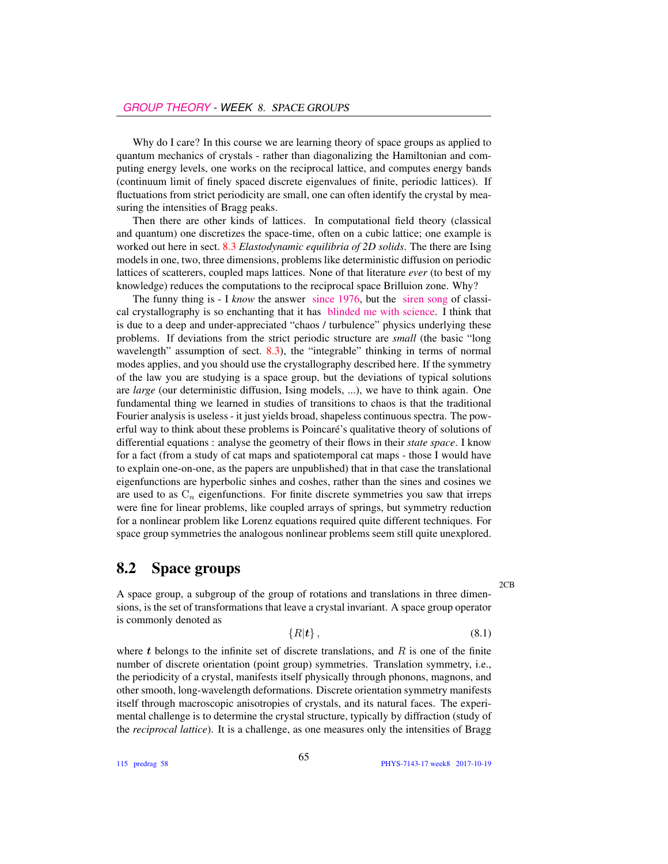Why do I care? In this course we are learning theory of space groups as applied to quantum mechanics of crystals - rather than diagonalizing the Hamiltonian and computing energy levels, one works on the reciprocal lattice, and computes energy bands (continuum limit of finely spaced discrete eigenvalues of finite, periodic lattices). If fluctuations from strict periodicity are small, one can often identify the crystal by measuring the intensities of Bragg peaks.

Then there are other kinds of lattices. In computational field theory (classical and quantum) one discretizes the space-time, often on a cubic lattice; one example is worked out here in sect. 8.3 *Elastodynamic equilibria of 2D solids*. The there are Ising models in one, two, three dimensions, problems like deterministic diffusion on periodic lattices of scatterers, coupled maps lattices. None of that literature *ever* (to best of my knowledge) reduces the computations to the reciprocal space Brilluion zone. Why?

The funny thing is - I *know* the answer [since 1976,](http://chaosbook.org/~predrag/papers/universalFunct.html) but the [siren song](https://www.theguardian.com/science/2013/jan/06/dan-shechtman-nobel-prize-chemistry-interview) of classical crystallography is so enchanting that it has [blinded me with science.](https://www.youtube.com/watch?v=Y2VNxmn0lNA) I think that is due to a deep and under-appreciated "chaos / turbulence" physics underlying these problems. If deviations from the strict periodic structure are *small* (the basic "long wavelength" assumption of sect. 8.3), the "integrable" thinking in terms of normal modes applies, and you should use the crystallography described here. If the symmetry of the law you are studying is a space group, but the deviations of typical solutions are *large* (our deterministic diffusion, Ising models, ...), we have to think again. One fundamental thing we learned in studies of transitions to chaos is that the traditional Fourier analysis is useless - it just yields broad, shapeless continuous spectra. The powerful way to think about these problems is Poincaré's qualitative theory of solutions of differential equations : analyse the geometry of their flows in their *state space*. I know for a fact (from a study of cat maps and spatiotemporal cat maps - those I would have to explain one-on-one, as the papers are unpublished) that in that case the translational eigenfunctions are hyperbolic sinhes and coshes, rather than the sines and cosines we are used to as  $C_n$  eigenfunctions. For finite discrete symmetries you saw that irreps were fine for linear problems, like coupled arrays of springs, but symmetry reduction for a nonlinear problem like Lorenz equations required quite different techniques. For space group symmetries the analogous nonlinear problems seem still quite unexplored.

### 8.2 Space groups

A space group, a subgroup of the group of rotations and translations in three dimensions, is the set of transformations that leave a crystal invariant. A space group operator is commonly denoted as

$$
\{R|\mathbf{t}\},\tag{8.1}
$$

where t belongs to the infinite set of discrete translations, and  $R$  is one of the finite number of discrete orientation (point group) symmetries. Translation symmetry, i.e., the periodicity of a crystal, manifests itself physically through phonons, magnons, and other smooth, long-wavelength deformations. Discrete orientation symmetry manifests itself through macroscopic anisotropies of crystals, and its natural faces. The experimental challenge is to determine the crystal structure, typically by diffraction (study of the *reciprocal lattice*). It is a challenge, as one measures only the intensities of Bragg

115 predrag 58

2CB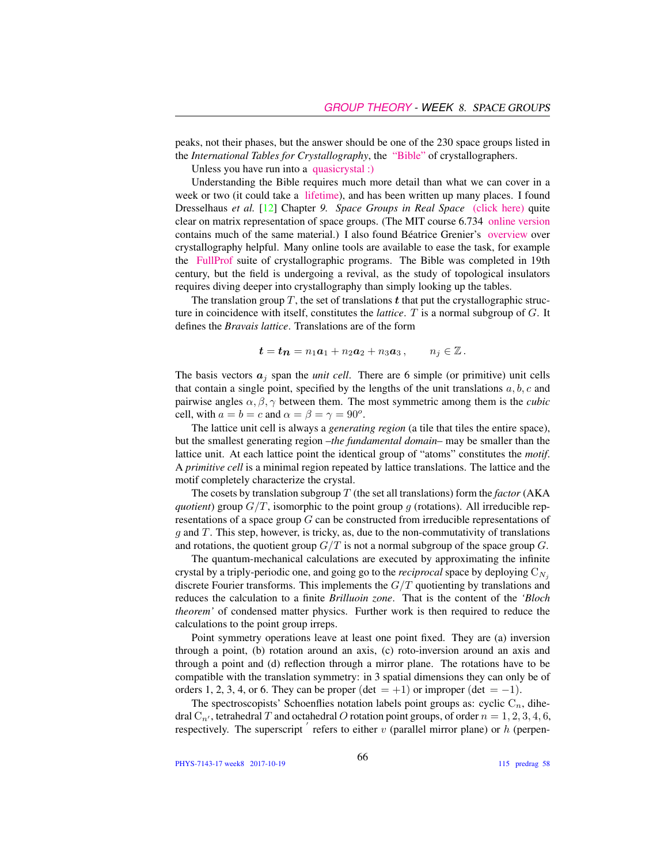peaks, not their phases, but the answer should be one of the 230 space groups listed in the *International Tables for Crystallography*, the ["Bible"](http://it.iucr.org/) of crystallographers.

Unless you have run into a [quasicrystal :\)](https://www.nobelprize.org/nobel_prizes/chemistry/laureates/2011/press.html)

Understanding the Bible requires much more detail than what we can cover in a week or two (it could take a [lifetime\)](http://crystallography.euroscicon.com), and has been written up many places. I found Dresselhaus *et al.* [12] Chapter *9. Space Groups in Real Space* [\(click here\)](http://chaosbook.org/library/Dresselhaus07.pdf) quite clear on matrix representation of space groups. (The MIT course 6.734 [online version](http://stuff.mit.edu/afs/athena/course/6/6.734j/www/group-full02.pdf) contains much of the same material.) I also found Béatrice Grenier's [overview](https://www.ill.eu/fileadmin/users_files/documents/news_and_events/workshops_events/Group-Theory-School/uploads/5-GRENIER-Reminder_On_Crystallography.pdf) over crystallography helpful. Many online tools are available to ease the task, for example the [FullProf](https://www.ill.eu/sites/fullprof/index.html) suite of crystallographic programs. The Bible was completed in 19th century, but the field is undergoing a revival, as the study of topological insulators requires diving deeper into crystallography than simply looking up the tables.

The translation group  $T$ , the set of translations  $t$  that put the crystallographic structure in coincidence with itself, constitutes the *lattice*. T is a normal subgroup of G. It defines the *Bravais lattice*. Translations are of the form

$$
t = t_n = n_1 a_1 + n_2 a_2 + n_3 a_3 , \qquad n_j \in \mathbb{Z}.
$$

The basis vectors  $a_j$  span the *unit cell*. There are 6 simple (or primitive) unit cells that contain a single point, specified by the lengths of the unit translations  $a, b, c$  and pairwise angles  $\alpha$ ,  $\beta$ ,  $\gamma$  between them. The most symmetric among them is the *cubic* cell, with  $a = b = c$  and  $\alpha = \beta = \gamma = 90^{\circ}$ .

The lattice unit cell is always a *generating region* (a tile that tiles the entire space), but the smallest generating region –*the fundamental domain*– may be smaller than the lattice unit. At each lattice point the identical group of "atoms" constitutes the *motif*. A *primitive cell* is a minimal region repeated by lattice translations. The lattice and the motif completely characterize the crystal.

The cosets by translation subgroup  $T$  (the set all translations) form the *factor* (AKA *quotient*) group  $G/T$ , isomorphic to the point group g (rotations). All irreducible representations of a space group G can be constructed from irreducible representations of  $g$  and  $T$ . This step, however, is tricky, as, due to the non-commutativity of translations and rotations, the quotient group  $G/T$  is not a normal subgroup of the space group  $G$ .

The quantum-mechanical calculations are executed by approximating the infinite crystal by a triply-periodic one, and going go to the *reciprocal* space by deploying  $C_{N_i}$ discrete Fourier transforms. This implements the  $G/T$  quotienting by translations and reduces the calculation to a finite *Brilluoin zone*. That is the content of the *'Bloch theorem'* of condensed matter physics. Further work is then required to reduce the calculations to the point group irreps.

Point symmetry operations leave at least one point fixed. They are (a) inversion through a point, (b) rotation around an axis, (c) roto-inversion around an axis and through a point and (d) reflection through a mirror plane. The rotations have to be compatible with the translation symmetry: in 3 spatial dimensions they can only be of orders 1, 2, 3, 4, or 6. They can be proper (det = +1) or improper (det = -1).

The spectroscopists' Schoenflies notation labels point groups as: cyclic  $C_n$ , dihedral  $C_{n'}$ , tetrahedral T and octahedral O rotation point groups, of order  $n = 1, 2, 3, 4, 6$ , respectively. The superscript  $\acute{i}$  refers to either  $\acute{v}$  (parallel mirror plane) or  $h$  (perpen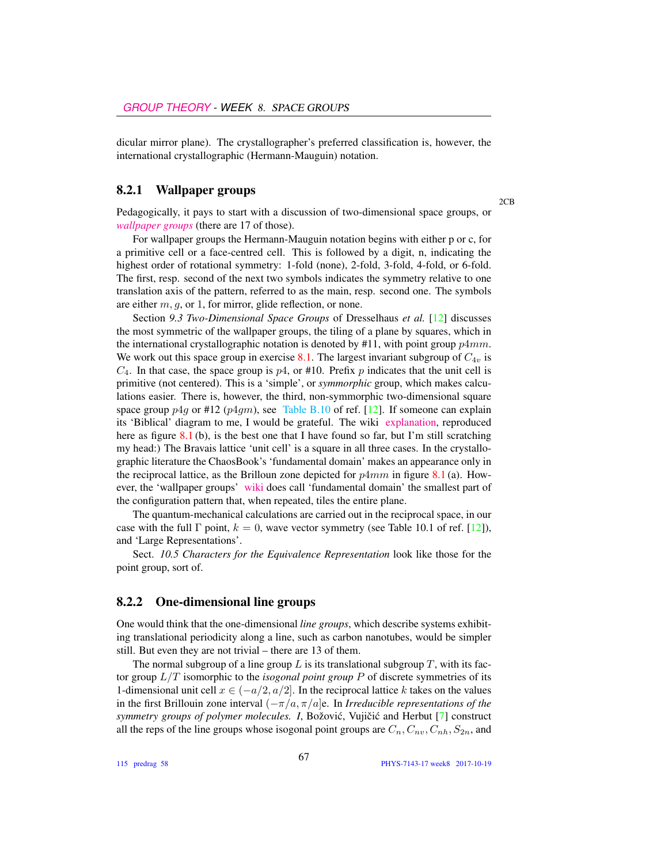dicular mirror plane). The crystallographer's preferred classification is, however, the international crystallographic (Hermann-Mauguin) notation.

#### 8.2.1 Wallpaper groups

Pedagogically, it pays to start with a discussion of two-dimensional space groups, or *[wallpaper groups](https://en.wikipedia.org/wiki/Wallpaper_group)* (there are 17 of those).

For wallpaper groups the Hermann-Mauguin notation begins with either p or c, for a primitive cell or a face-centred cell. This is followed by a digit, n, indicating the highest order of rotational symmetry: 1-fold (none), 2-fold, 3-fold, 4-fold, or 6-fold. The first, resp. second of the next two symbols indicates the symmetry relative to one translation axis of the pattern, referred to as the main, resp. second one. The symbols are either  $m, q$ , or 1, for mirror, glide reflection, or none.

Section *9.3 Two-Dimensional Space Groups* of Dresselhaus *et al.* [12] discusses the most symmetric of the wallpaper groups, the tiling of a plane by squares, which in the international crystallographic notation is denoted by  $#11$ , with point group  $p4mm$ . We work out this space group in exercise 8.1. The largest invariant subgroup of  $C_{4v}$  is  $C_4$ . In that case, the space group is  $p4$ , or #10. Prefix p indicates that the unit cell is primitive (not centered). This is a 'simple', or *symmorphic* group, which makes calculations easier. There is, however, the third, non-symmorphic two-dimensional square space group  $p_4q$  or #12 ( $p_4qm$ ), see [Table B.10](#page-0-0) of ref. [12]. If someone can explain its 'Biblical' diagram to me, I would be grateful. The wiki [explanation,](https://en.wikipedia.org/wiki/Wallpaper_group#Group_p4g_.284.2A2.29) reproduced here as figure  $8.1$  (b), is the best one that I have found so far, but I'm still scratching my head:) The Bravais lattice 'unit cell' is a square in all three cases. In the crystallographic literature the ChaosBook's 'fundamental domain' makes an appearance only in the reciprocal lattice, as the Brilloun zone depicted for  $p4mm$  in figure 8.1 (a). However, the 'wallpaper groups' [wiki](https://en.wikipedia.org/wiki/Wallpaper_group) does call 'fundamental domain' the smallest part of the configuration pattern that, when repeated, tiles the entire plane.

The quantum-mechanical calculations are carried out in the reciprocal space, in our case with the full  $\Gamma$  point,  $k = 0$ , wave vector symmetry (see Table 10.1 of ref. [12]), and 'Large Representations'.

Sect. *10.5 Characters for the Equivalence Representation* look like those for the point group, sort of.

#### 8.2.2 One-dimensional line groups

One would think that the one-dimensional *line groups*, which describe systems exhibiting translational periodicity along a line, such as carbon nanotubes, would be simpler still. But even they are not trivial – there are 13 of them.

The normal subgroup of a line group  $L$  is its translational subgroup  $T$ , with its factor group L/T isomorphic to the *isogonal point group* P of discrete symmetries of its 1-dimensional unit cell  $x \in (-a/2, a/2]$ . In the reciprocal lattice k takes on the values in the first Brillouin zone interval (−π/a, π/a]e. In *Irreducible representations of the symmetry groups of polymer molecules. I*, Božović, Vujičić and Herbut [7] construct all the reps of the line groups whose isogonal point groups are  $C_n, C_n, C_{n}, S_{2n}$ , and

2CB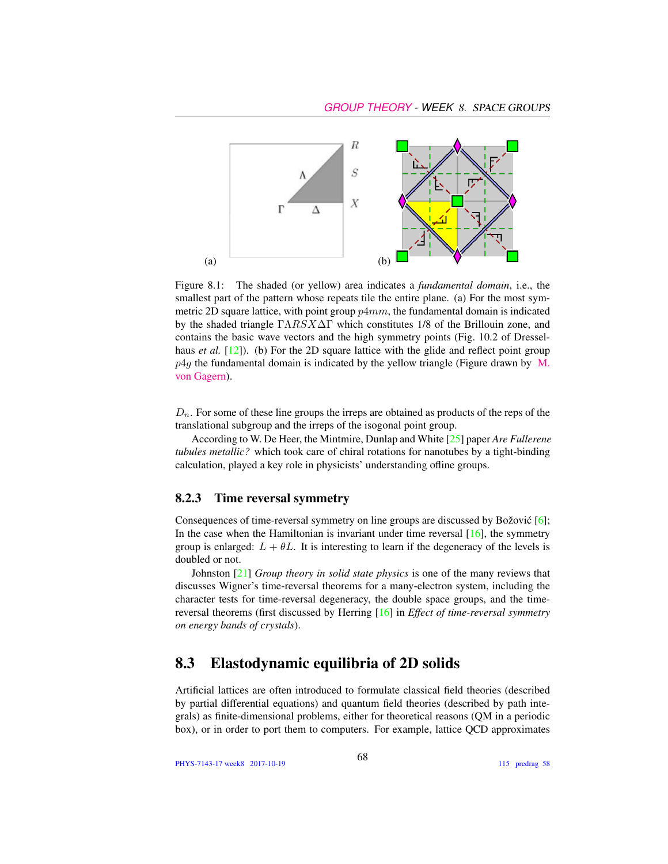

Figure 8.1: The shaded (or yellow) area indicates a *fundamental domain*, i.e., the smallest part of the pattern whose repeats tile the entire plane. (a) For the most symmetric 2D square lattice, with point group  $p4mm$ , the fundamental domain is indicated by the shaded triangle  $\Gamma \Lambda R S X \Delta \Gamma$  which constitutes 1/8 of the Brillouin zone, and contains the basic wave vectors and the high symmetry points (Fig. 10.2 of Dresselhaus *et al.* [12]). (b) For the 2D square lattice with the glide and reflect point group  $p4g$  the fundamental domain is indicated by the yellow triangle (Figure drawn by [M.](https://en.wikipedia.org/wiki/Wallpaper_group#Group_p4g_.284.2A2.29) [von Gagern\)](https://en.wikipedia.org/wiki/Wallpaper_group#Group_p4g_.284.2A2.29).

 $D_n$ . For some of these line groups the irreps are obtained as products of the reps of the translational subgroup and the irreps of the isogonal point group.

According to W. De Heer, the Mintmire, Dunlap and White [25] paper *Are Fullerene tubules metallic?* which took care of chiral rotations for nanotubes by a tight-binding calculation, played a key role in physicists' understanding ofline groups.

#### 8.2.3 Time reversal symmetry

Consequences of time-reversal symmetry on line groups are discussed by Božović  $[6]$ ; In the case when the Hamiltonian is invariant under time reversal  $[16]$ , the symmetry group is enlarged:  $L + \theta L$ . It is interesting to learn if the degeneracy of the levels is doubled or not.

Johnston [21] *Group theory in solid state physics* is one of the many reviews that discusses Wigner's time-reversal theorems for a many-electron system, including the character tests for time-reversal degeneracy, the double space groups, and the timereversal theorems (first discussed by Herring [16] in *Effect of time-reversal symmetry on energy bands of crystals*).

## 8.3 Elastodynamic equilibria of 2D solids

Artificial lattices are often introduced to formulate classical field theories (described by partial differential equations) and quantum field theories (described by path integrals) as finite-dimensional problems, either for theoretical reasons (QM in a periodic box), or in order to port them to computers. For example, lattice QCD approximates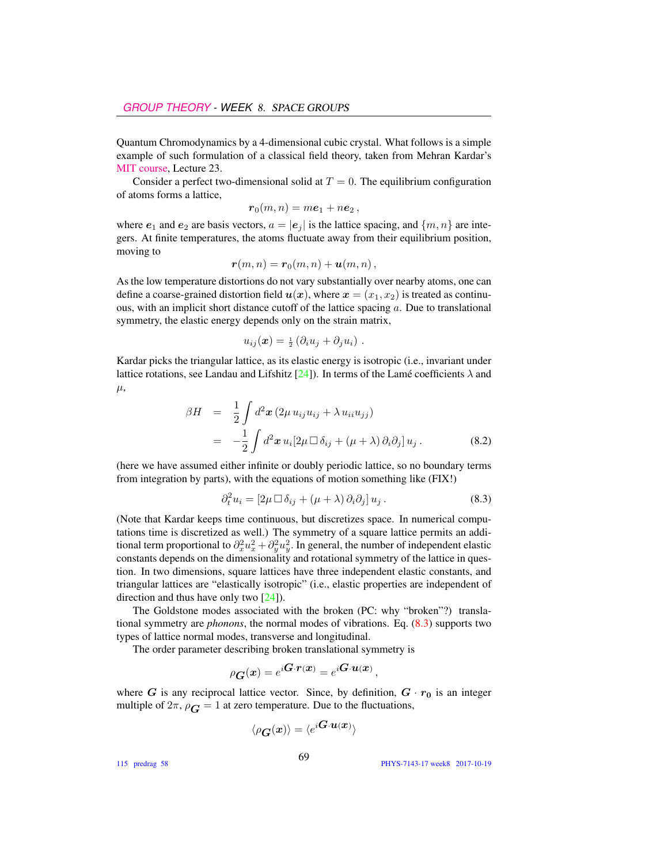Quantum Chromodynamics by a 4-dimensional cubic crystal. What follows is a simple example of such formulation of a classical field theory, taken from Mehran Kardar's [MIT course,](https://ocw.mit.edu/courses/physics/8-334-statistical-mechanics-ii-statistical-physics-of-fields-spring-2014/) Lecture 23.

Consider a perfect two-dimensional solid at  $T = 0$ . The equilibrium configuration of atoms forms a lattice,

$$
\boldsymbol{r}_0(m,n)=m\boldsymbol{e}_1+n\boldsymbol{e}_2\,,
$$

where  $e_1$  and  $e_2$  are basis vectors,  $a = |e_i|$  is the lattice spacing, and  $\{m, n\}$  are integers. At finite temperatures, the atoms fluctuate away from their equilibrium position, moving to

$$
\boldsymbol{r}(m,n)=\boldsymbol{r}_0(m,n)+\boldsymbol{u}(m,n)\,,
$$

As the low temperature distortions do not vary substantially over nearby atoms, one can define a coarse-grained distortion field  $u(x)$ , where  $x = (x_1, x_2)$  is treated as continuous, with an implicit short distance cutoff of the lattice spacing  $a$ . Due to translational symmetry, the elastic energy depends only on the strain matrix,

$$
u_{ij}(\boldsymbol{x}) = \frac{1}{2} \left( \partial_i u_j + \partial_j u_i \right) .
$$

Kardar picks the triangular lattice, as its elastic energy is isotropic (i.e., invariant under lattice rotations, see Landau and Lifshitz  $[24]$ ). In terms of the Lamé coefficients  $\lambda$  and  $\mu$ ,

$$
\beta H = \frac{1}{2} \int d^2 \boldsymbol{x} (2\mu u_{ij} u_{ij} + \lambda u_{ii} u_{jj})
$$
  
= 
$$
-\frac{1}{2} \int d^2 \boldsymbol{x} u_i [2\mu \Box \delta_{ij} + (\mu + \lambda) \partial_i \partial_j] u_j.
$$
 (8.2)

(here we have assumed either infinite or doubly periodic lattice, so no boundary terms from integration by parts), with the equations of motion something like (FIX!)

$$
\partial_t^2 u_i = [2\mu \Box \delta_{ij} + (\mu + \lambda) \partial_i \partial_j] u_j. \tag{8.3}
$$

(Note that Kardar keeps time continuous, but discretizes space. In numerical computations time is discretized as well.) The symmetry of a square lattice permits an additional term proportional to  $\partial_x^2 u_x^2 + \partial_y^2 u_y^2$ . In general, the number of independent elastic constants depends on the dimensionality and rotational symmetry of the lattice in question. In two dimensions, square lattices have three independent elastic constants, and triangular lattices are "elastically isotropic" (i.e., elastic properties are independent of direction and thus have only two [24]).

The Goldstone modes associated with the broken (PC: why "broken"?) translational symmetry are *phonons*, the normal modes of vibrations. Eq. (8.3) supports two types of lattice normal modes, transverse and longitudinal.

The order parameter describing broken translational symmetry is

$$
\rho_{\boldsymbol{G}}(\boldsymbol{x})=e^{i\boldsymbol{G}\cdot\boldsymbol{r}(\boldsymbol{x})}=e^{i\boldsymbol{G}\cdot\boldsymbol{u}(\boldsymbol{x})},
$$

where G is any reciprocal lattice vector. Since, by definition,  $G \cdot r_0$  is an integer multiple of  $2\pi$ ,  $\rho_{\mathbf{G}} = 1$  at zero temperature. Due to the fluctuations,

$$
\langle \rho_{\bm{G}}(\bm{x}) \rangle = \langle e^{i\bm{G}\cdot\bm{u}(\bm{x})} \rangle
$$

115 predrag 58

PHYS-7143-17 week8 2017-10-19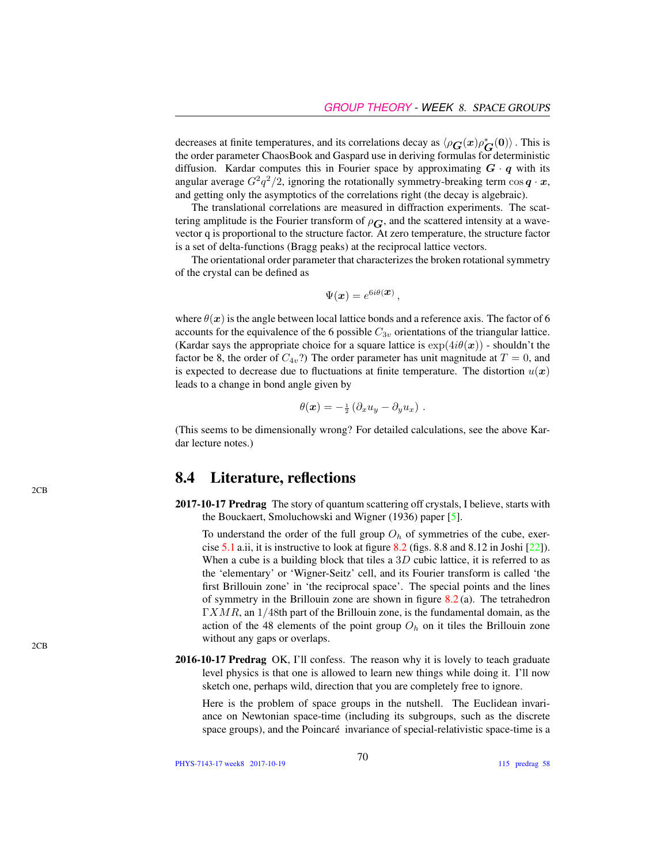decreases at finite temperatures, and its correlations decay as  $\langle \rho_G(x) \rho_G^*(0) \rangle$ . This is the order parameter ChaosBook and Gaspard use in deriving formulas for deterministic diffusion. Kardar computes this in Fourier space by approximating  $G \cdot q$  with its angular average  $G^2q^2/2$ , ignoring the rotationally symmetry-breaking term  $\cos q \cdot x$ , and getting only the asymptotics of the correlations right (the decay is algebraic).

The translational correlations are measured in diffraction experiments. The scattering amplitude is the Fourier transform of  $\rho_G$ , and the scattered intensity at a wavevector q is proportional to the structure factor. At zero temperature, the structure factor is a set of delta-functions (Bragg peaks) at the reciprocal lattice vectors.

The orientational order parameter that characterizes the broken rotational symmetry of the crystal can be defined as

$$
\Psi(\boldsymbol{x}) = e^{6i\theta(\boldsymbol{x})},
$$

where  $\theta(x)$  is the angle between local lattice bonds and a reference axis. The factor of 6 accounts for the equivalence of the 6 possible  $C_{3v}$  orientations of the triangular lattice. (Kardar says the appropriate choice for a square lattice is  $\exp(4i\theta(\mathbf{x}))$  - shouldn't the factor be 8, the order of  $C_{4v}$ ?) The order parameter has unit magnitude at  $T = 0$ , and is expected to decrease due to fluctuations at finite temperature. The distortion  $u(x)$ leads to a change in bond angle given by

$$
\theta(\boldsymbol{x}) = -\frac{1}{2} \left( \partial_x u_y - \partial_y u_x \right) .
$$

(This seems to be dimensionally wrong? For detailed calculations, see the above Kardar lecture notes.)

### 8.4 Literature, reflections

2017-10-17 Predrag The story of quantum scattering off crystals, I believe, starts with the Bouckaert, Smoluchowski and Wigner (1936) paper [5].

To understand the order of the full group  $O<sub>h</sub>$  of symmetries of the cube, exercise  $5.1$  a.ii, it is instructive to look at figure  $8.2$  (figs. 8.8 and  $8.12$  in Joshi  $[22]$ ). When a cube is a building block that tiles a  $3D$  cubic lattice, it is referred to as the 'elementary' or 'Wigner-Seitz' cell, and its Fourier transform is called 'the first Brillouin zone' in 'the reciprocal space'. The special points and the lines of symmetry in the Brillouin zone are shown in figure  $8.2$  (a). The tetrahedron  $\Gamma XMR$ , an  $1/48$ th part of the Brillouin zone, is the fundamental domain, as the action of the 48 elements of the point group  $O<sub>h</sub>$  on it tiles the Brillouin zone without any gaps or overlaps.

2016-10-17 Predrag OK, I'll confess. The reason why it is lovely to teach graduate level physics is that one is allowed to learn new things while doing it. I'll now sketch one, perhaps wild, direction that you are completely free to ignore.

Here is the problem of space groups in the nutshell. The Euclidean invariance on Newtonian space-time (including its subgroups, such as the discrete space groups), and the Poincaré invariance of special-relativistic space-time is a

PHYS-7143-17 week8 2017-10-19

 $2CB$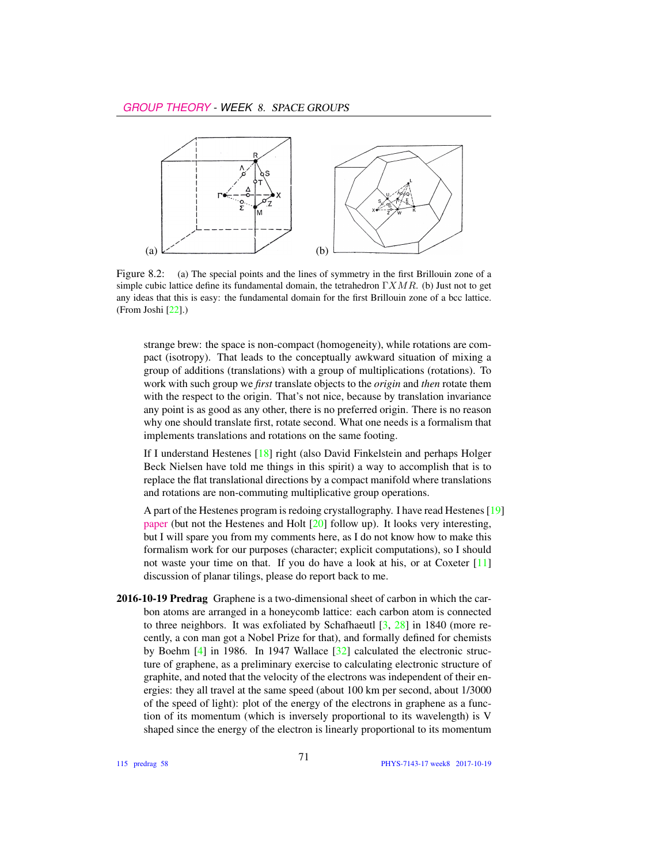

Figure 8.2: (a) The special points and the lines of symmetry in the first Brillouin zone of a simple cubic lattice define its fundamental domain, the tetrahedron  $\Gamma XMR$ . (b) Just not to get any ideas that this is easy: the fundamental domain for the first Brillouin zone of a bcc lattice. (From Joshi [22].)

strange brew: the space is non-compact (homogeneity), while rotations are compact (isotropy). That leads to the conceptually awkward situation of mixing a group of additions (translations) with a group of multiplications (rotations). To work with such group we *first* translate objects to the *origin* and *then* rotate them with the respect to the origin. That's not nice, because by translation invariance any point is as good as any other, there is no preferred origin. There is no reason why one should translate first, rotate second. What one needs is a formalism that implements translations and rotations on the same footing.

If I understand Hestenes [18] right (also David Finkelstein and perhaps Holger Beck Nielsen have told me things in this spirit) a way to accomplish that is to replace the flat translational directions by a compact manifold where translations and rotations are non-commuting multiplicative group operations.

A part of the Hestenes program is redoing crystallography. I have read Hestenes [19] [paper](http://geocalc.clas.asu.edu/pdf/crystalsymmetry.pdf) (but not the Hestenes and Holt [20] follow up). It looks very interesting, but I will spare you from my comments here, as I do not know how to make this formalism work for our purposes (character; explicit computations), so I should not waste your time on that. If you do have a look at his, or at Coxeter [11] discussion of planar tilings, please do report back to me.

2016-10-19 Predrag Graphene is a two-dimensional sheet of carbon in which the carbon atoms are arranged in a honeycomb lattice: each carbon atom is connected to three neighbors. It was exfoliated by Schafhaeutl  $[3, 28]$  in 1840 (more recently, a con man got a Nobel Prize for that), and formally defined for chemists by Boehm [4] in 1986. In 1947 Wallace [32] calculated the electronic structure of graphene, as a preliminary exercise to calculating electronic structure of graphite, and noted that the velocity of the electrons was independent of their energies: they all travel at the same speed (about 100 km per second, about 1/3000 of the speed of light): plot of the energy of the electrons in graphene as a function of its momentum (which is inversely proportional to its wavelength) is V shaped since the energy of the electron is linearly proportional to its momentum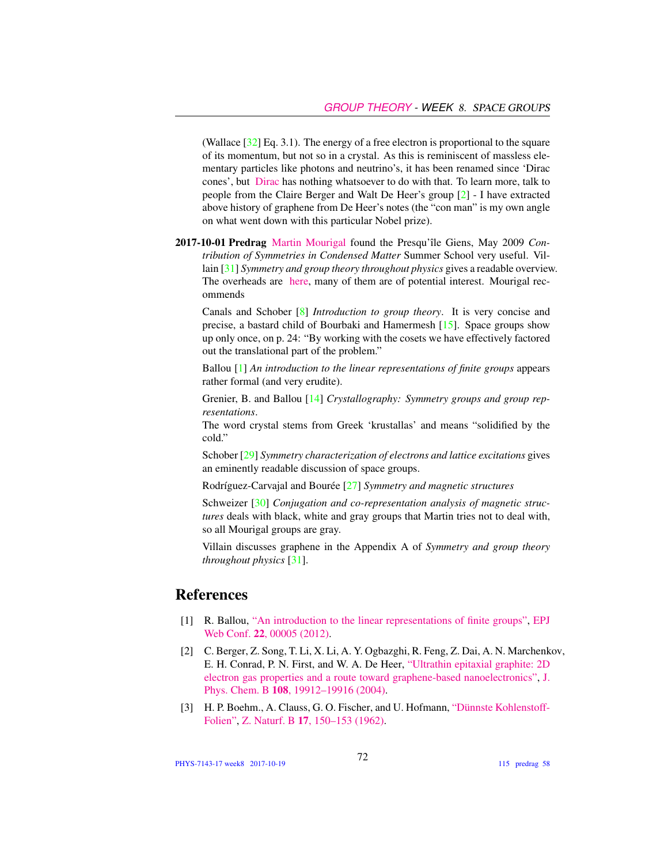(Wallace  $[32]$  Eq. 3.1). The energy of a free electron is proportional to the square of its momentum, but not so in a crystal. As this is reminiscent of massless elementary particles like photons and neutrino's, it has been renamed since 'Dirac cones', but [Dirac](https://youtu.be/AJDDceOmwmI) has nothing whatsoever to do with that. To learn more, talk to people from the Claire Berger and Walt De Heer's group [2] - I have extracted above history of graphene from De Heer's notes (the "con man" is my own angle on what went down with this particular Nobel prize).

2017-10-01 Predrag [Martin Mourigal](http://mourigal.gatech.edu/) found the Presqu'île Giens, May 2009 *Contribution of Symmetries in Condensed Matter* Summer School very useful. Villain [31] *Symmetry and group theory throughout physics* gives a readable overview. The overheads are [here,](https://www.ill.eu/press-and-news/past-events/2009/ecole-theorie-des-groupes/transparents-cours-td-tp) many of them are of potential interest. Mourigal recommends

Canals and Schober [8] *Introduction to group theory*. It is very concise and precise, a bastard child of Bourbaki and Hamermesh [15]. Space groups show up only once, on p. 24: "By working with the cosets we have effectively factored out the translational part of the problem."

Ballou [1] *An introduction to the linear representations of finite groups* appears rather formal (and very erudite).

Grenier, B. and Ballou [14] *Crystallography: Symmetry groups and group representations*.

The word crystal stems from Greek 'krustallas' and means "solidified by the cold."

Schober [29] *Symmetry characterization of electrons and lattice excitations* gives an eminently readable discussion of space groups.

Rodríguez-Carvajal and Bourée [27] *Symmetry and magnetic structures*

Schweizer [30] *Conjugation and co-representation analysis of magnetic structures* deals with black, white and gray groups that Martin tries not to deal with, so all Mourigal groups are gray.

Villain discusses graphene in the Appendix A of *Symmetry and group theory throughout physics* [31].

## **References**

- [1] R. Ballou, ["An introduction to the linear representations of finite groups",](http://dx.doi.org/10.1051/epjconf/20122200005) [EPJ](http://dx.doi.org/10.1051/epjconf/20122200005) Web Conf. 22[, 00005 \(2012\).](http://dx.doi.org/10.1051/epjconf/20122200005)
- [2] C. Berger, Z. Song, T. Li, X. Li, A. Y. Ogbazghi, R. Feng, Z. Dai, A. N. Marchenkov, E. H. Conrad, P. N. First, and W. A. De Heer, ["Ultrathin epitaxial graphite: 2D](http://dx.doi.org/10.1021/jp040650f) [electron gas properties and a route toward graphene-based nanoelectronics",](http://dx.doi.org/10.1021/jp040650f) [J.](http://dx.doi.org/10.1021/jp040650f) Phys. Chem. B 108[, 19912–19916 \(2004\).](http://dx.doi.org/10.1021/jp040650f)
- [3] H. P. Boehm., A. Clauss, G. O. Fischer, and U. Hofmann, ["Dünnste Kohlenstoff-](http://dx.doi.org/10.1515/znb-1962-0302)[Folien",](http://dx.doi.org/10.1515/znb-1962-0302) Z. Naturf. B 17[, 150–153 \(1962\).](http://dx.doi.org/10.1515/znb-1962-0302)

PHYS-7143-17 week8 2017-10-19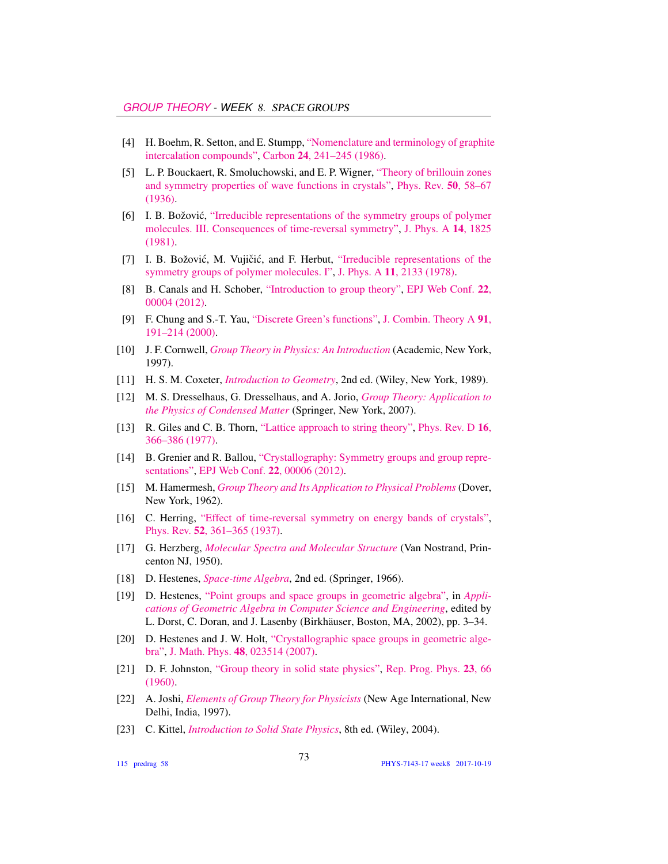- [4] H. Boehm, R. Setton, and E. Stumpp, ["Nomenclature and terminology of graphite](http://dx.doi.org/10.1016/0008-6223(86)90126-0) [intercalation compounds",](http://dx.doi.org/10.1016/0008-6223(86)90126-0) Carbon 24[, 241–245 \(1986\).](http://dx.doi.org/10.1016/0008-6223(86)90126-0)
- [5] L. P. Bouckaert, R. Smoluchowski, and E. P. Wigner, ["Theory of brillouin zones](http://dx.doi.org/10.1103/PhysRev.50.58) [and symmetry properties of wave functions in crystals",](http://dx.doi.org/10.1103/PhysRev.50.58) [Phys. Rev.](http://dx.doi.org/10.1103/PhysRev.50.58) 50, 58–67 [\(1936\).](http://dx.doi.org/10.1103/PhysRev.50.58)
- [6] I. B. Božović, ["Irreducible representations of the symmetry groups of polymer](http://dx.doi.org/10.1088/0305-4470/14/8/010) [molecules. III. Consequences of time-reversal symmetry",](http://dx.doi.org/10.1088/0305-4470/14/8/010) [J. Phys. A](http://dx.doi.org/10.1088/0305-4470/14/8/010) 14, 1825 [\(1981\).](http://dx.doi.org/10.1088/0305-4470/14/8/010)
- [7] I. B. Božović, M. Vujičić, and F. Herbut, ["Irreducible representations of the](http://dx.doi.org/10.1088/0305-4470/11/11/003) [symmetry groups of polymer molecules. I",](http://dx.doi.org/10.1088/0305-4470/11/11/003) J. Phys. A 11[, 2133 \(1978\).](http://dx.doi.org/10.1088/0305-4470/11/11/003)
- [8] B. Canals and H. Schober, ["Introduction to group theory",](http://dx.doi.org/10.1051/epjconf/20122200004) [EPJ Web Conf.](http://dx.doi.org/10.1051/epjconf/20122200004) 22, [00004 \(2012\).](http://dx.doi.org/10.1051/epjconf/20122200004)
- [9] F. Chung and S.-T. Yau, ["Discrete Green's functions",](http://dx.doi.org/10.1006/jcta.2000.3094) [J. Combin. Theory A](http://dx.doi.org/10.1006/jcta.2000.3094) 91, [191–214 \(2000\).](http://dx.doi.org/10.1006/jcta.2000.3094)
- [10] J. F. Cornwell, *[Group Theory in Physics: An Introduction](http://books.google.com/books?vid=ISBN9780121898007)* (Academic, New York, 1997).
- [11] H. S. M. Coxeter, *[Introduction to Geometry](http://books.google.com/books?vid=ISBN978-0-471-50458-0)*, 2nd ed. (Wiley, New York, 1989).
- [12] M. S. Dresselhaus, G. Dresselhaus, and A. Jorio, *[Group Theory: Application to](http://dx.doi.org/10.1007/978-3-540-32899-5) [the Physics of Condensed Matter](http://dx.doi.org/10.1007/978-3-540-32899-5)* (Springer, New York, 2007).
- [13] R. Giles and C. B. Thorn, ["Lattice approach to string theory",](http://dx.doi.org/10.1103/PhysRevD.16.366) [Phys. Rev. D](http://dx.doi.org/10.1103/PhysRevD.16.366) 16, [366–386 \(1977\).](http://dx.doi.org/10.1103/PhysRevD.16.366)
- [14] B. Grenier and R. Ballou, ["Crystallography: Symmetry groups and group repre](http://dx.doi.org/10.1051/epjconf/20122200006)[sentations",](http://dx.doi.org/10.1051/epjconf/20122200006) [EPJ Web Conf.](http://dx.doi.org/10.1051/epjconf/20122200006) 22, 00006 (2012).
- [15] M. Hamermesh, *[Group Theory and Its Application to Physical Problems](http://dx.doi.org/10.1119/1.1941790)* (Dover, New York, 1962).
- [16] C. Herring, ["Effect of time-reversal symmetry on energy bands of crystals",](http://dx.doi.org/10.1103/PhysRev.52.361) Phys. Rev. 52[, 361–365 \(1937\).](http://dx.doi.org/10.1103/PhysRev.52.361)
- [17] G. Herzberg, *[Molecular Spectra and Molecular Structure](https://archive.org/details/molecularspectra032774mbp)* (Van Nostrand, Princenton NJ, 1950).
- [18] D. Hestenes, *[Space-time Algebra](http://dx.doi.org/10.1007/978-3-319-18413-5)*, 2nd ed. (Springer, 1966).
- [19] D. Hestenes, ["Point groups and space groups in geometric algebra",](http://dx.doi.org/10.1007/978-1-4612-0089-5_1) in *[Appli](http://dx.doi.org/10.1007/978-1-4612-0089-5_1)[cations of Geometric Algebra in Computer Science and Engineering](http://dx.doi.org/10.1007/978-1-4612-0089-5_1)*, edited by L. Dorst, C. Doran, and J. Lasenby (Birkhäuser, Boston, MA, 2002), pp. 3–34.
- [20] D. Hestenes and J. W. Holt, ["Crystallographic space groups in geometric alge](http://dx.doi.org/10.1063/1.2426416)[bra",](http://dx.doi.org/10.1063/1.2426416) J. Math. Phys. 48[, 023514 \(2007\).](http://dx.doi.org/10.1063/1.2426416)
- [21] D. F. Johnston, ["Group theory in solid state physics",](http://dx.doi.org/10.1088/0034-4885/23/1/302) [Rep. Prog. Phys.](http://dx.doi.org/10.1088/0034-4885/23/1/302) 23, 66 [\(1960\).](http://dx.doi.org/10.1088/0034-4885/23/1/302)
- [22] A. Joshi, *[Elements of Group Theory for Physicists](http://books.google.com/books?vid=ISBN9788122409758)* (New Age International, New Delhi, India, 1997).
- [23] C. Kittel, *[Introduction to Solid State Physics](http://books.google.com/books?vid=ISBN9780471415268)*, 8th ed. (Wiley, 2004).

115 predrag 58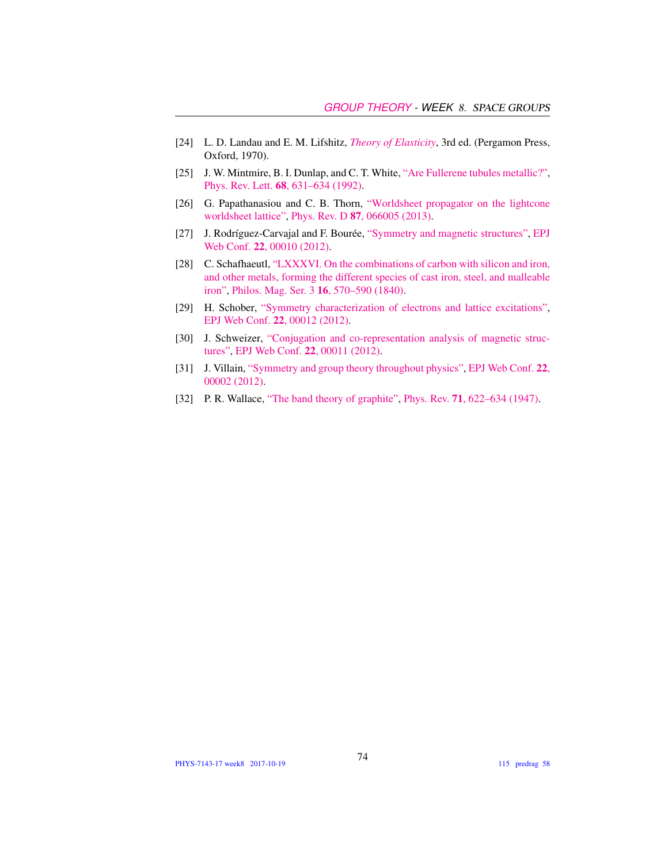- [24] L. D. Landau and E. M. Lifshitz, *[Theory of Elasticity](https://archive.org/details/TheoryOfElasticity)*, 3rd ed. (Pergamon Press, Oxford, 1970).
- [25] J. W. Mintmire, B. I. Dunlap, and C. T. White, ["Are Fullerene tubules metallic?",](http://dx.doi.org/10.1103/physrevlett.68.631) Phys. Rev. Lett. 68[, 631–634 \(1992\).](http://dx.doi.org/10.1103/physrevlett.68.631)
- [26] G. Papathanasiou and C. B. Thorn, ["Worldsheet propagator on the lightcone](http://dx.doi.org/10.1103/PhysRevD.87.066005) [worldsheet lattice",](http://dx.doi.org/10.1103/PhysRevD.87.066005) Phys. Rev. D 87[, 066005 \(2013\).](http://dx.doi.org/10.1103/PhysRevD.87.066005)
- [27] J. Rodríguez-Carvajal and F. Bourée, ["Symmetry and magnetic structures",](http://dx.doi.org/10.1051/epjconf/20122200010) [EPJ](http://dx.doi.org/10.1051/epjconf/20122200010) Web Conf. 22[, 00010 \(2012\).](http://dx.doi.org/10.1051/epjconf/20122200010)
- [28] C. Schafhaeutl, ["LXXXVI. On the combinations of carbon with silicon and iron,](http://dx.doi.org/10.1080/14786444008650094) [and other metals, forming the different species of cast iron, steel, and malleable](http://dx.doi.org/10.1080/14786444008650094) [iron",](http://dx.doi.org/10.1080/14786444008650094) [Philos. Mag. Ser. 3](http://dx.doi.org/10.1080/14786444008650094) 16, 570–590 (1840).
- [29] H. Schober, ["Symmetry characterization of electrons and lattice excitations",](http://dx.doi.org/10.1051/epjconf/20122200012) [EPJ Web Conf.](http://dx.doi.org/10.1051/epjconf/20122200012) 22, 00012 (2012).
- [30] J. Schweizer, ["Conjugation and co-representation analysis of magnetic struc](http://dx.doi.org/10.1051/epjconf/20122200011)[tures",](http://dx.doi.org/10.1051/epjconf/20122200011) [EPJ Web Conf.](http://dx.doi.org/10.1051/epjconf/20122200011) 22, 00011 (2012).
- [31] J. Villain, ["Symmetry and group theory throughout physics",](http://dx.doi.org/10.1051/epjconf/20122200002) [EPJ Web Conf.](http://dx.doi.org/10.1051/epjconf/20122200002) 22, [00002 \(2012\).](http://dx.doi.org/10.1051/epjconf/20122200002)
- [32] P. R. Wallace, ["The band theory of graphite",](http://dx.doi.org/10.1103/PhysRev.71.622) Phys. Rev. 71[, 622–634 \(1947\).](http://dx.doi.org/10.1103/PhysRev.71.622)